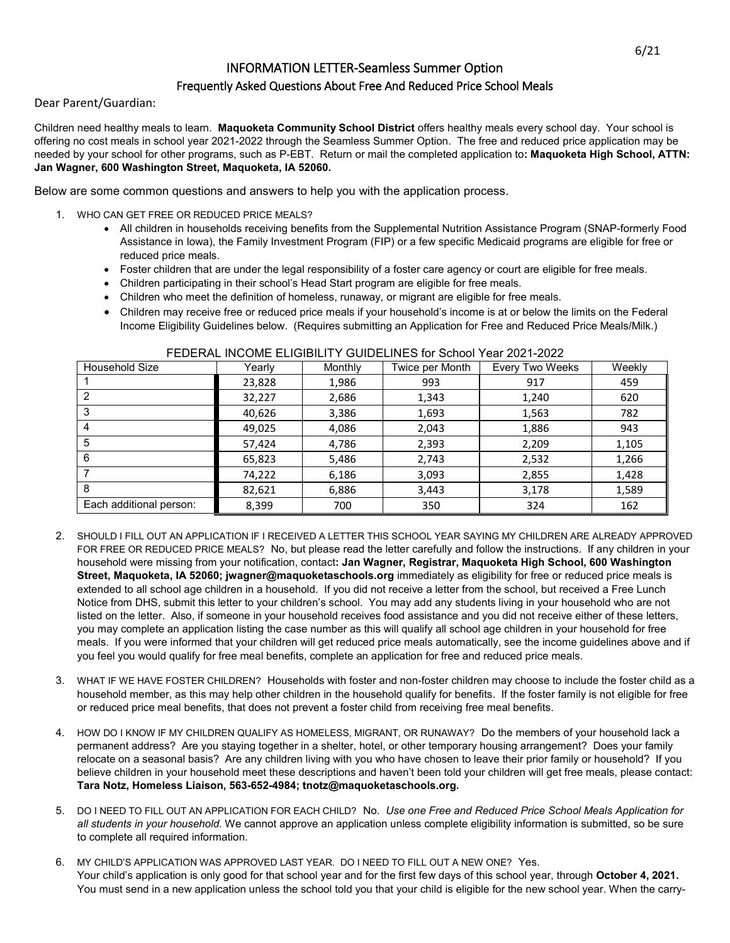## INFORMATION LETTER-Seamless Summer Option

## Frequently Asked Questions About Free And Reduced Price School Meals

Dear Parent/Guardian:

Children need healthy meals to learn. **Maquoketa Community School District** offers healthy meals every school day. Your school is offering no cost meals in school year 2021-2022 through the Seamless Summer Option. The free and reduced price application may be needed by your school for other programs, such as P-EBT. Return or mail the completed application to**: Maquoketa High School, ATTN: Jan Wagner, 600 Washington Street, Maquoketa, IA 52060.**

Below are some common questions and answers to help you with the application process.

- 1. WHO CAN GET FREE OR REDUCED PRICE MEALS?
	- All children in households receiving benefits from the Supplemental Nutrition Assistance Program (SNAP-formerly Food Assistance in Iowa), the Family Investment Program (FIP) or a few specific Medicaid programs are eligible for free or reduced price meals.
	- Foster children that are under the legal responsibility of a foster care agency or court are eligible for free meals.
	- Children participating in their school's Head Start program are eligible for free meals.
	- Children who meet the definition of homeless, runaway, or migrant are eligible for free meals.
	- Children may receive free or reduced price meals if your household's income is at or below the limits on the Federal Income Eligibility Guidelines below. (Requires submitting an Application for Free and Reduced Price Meals/Milk.)

| Household Size          | Yearly | Monthly | Twice per Month | Every Two Weeks | Weekly |
|-------------------------|--------|---------|-----------------|-----------------|--------|
|                         | 23,828 | 1,986   | 993             | 917             | 459    |
| 2                       | 32,227 | 2,686   | 1,343           | 1,240           | 620    |
| 3                       | 40,626 | 3,386   | 1,693           | 1,563           | 782    |
| 4                       | 49,025 | 4,086   | 2,043           | 1,886           | 943    |
| 5                       | 57,424 | 4,786   | 2,393           | 2,209           | 1,105  |
| 6                       | 65,823 | 5,486   | 2,743           | 2,532           | 1,266  |
|                         | 74,222 | 6,186   | 3,093           | 2,855           | 1,428  |
| 8                       | 82,621 | 6,886   | 3,443           | 3,178           | 1,589  |
| Each additional person: | 8,399  | 700     | 350             | 324             | 162    |

## FEDERAL INCOME ELIGIBILITY GUIDELINES for School Year 2021-2022

- 2. SHOULD I FILL OUT AN APPLICATION IF I RECEIVED A LETTER THIS SCHOOL YEAR SAYING MY CHILDREN ARE ALREADY APPROVED FOR FREE OR REDUCED PRICE MEALS? No, but please read the letter carefully and follow the instructions. If any children in your household were missing from your notification, contact**: Jan Wagner, Registrar, Maquoketa High School, 600 Washington Street, Maquoketa, IA 52060; jwagner@maquoketaschools.org** immediately as eligibility for free or reduced price meals is extended to all school age children in a household. If you did not receive a letter from the school, but received a Free Lunch Notice from DHS, submit this letter to your children's school. You may add any students living in your household who are not listed on the letter. Also, if someone in your household receives food assistance and you did not receive either of these letters, you may complete an application listing the case number as this will qualify all school age children in your household for free meals. If you were informed that your children will get reduced price meals automatically, see the income guidelines above and if you feel you would qualify for free meal benefits, complete an application for free and reduced price meals.
- 3. WHAT IF WE HAVE FOSTER CHILDREN? Households with foster and non-foster children may choose to include the foster child as a household member, as this may help other children in the household qualify for benefits. If the foster family is not eligible for free or reduced price meal benefits, that does not prevent a foster child from receiving free meal benefits.
- 4. HOW DO I KNOW IF MY CHILDREN QUALIFY AS HOMELESS, MIGRANT, OR RUNAWAY? Do the members of your household lack a permanent address? Are you staying together in a shelter, hotel, or other temporary housing arrangement? Does your family relocate on a seasonal basis? Are any children living with you who have chosen to leave their prior family or household? If you believe children in your household meet these descriptions and haven't been told your children will get free meals, please contact: **Tara Notz, Homeless Liaison, 563-652-4984; tnotz@maquoketaschools.org.**
- 5. DO I NEED TO FILL OUT AN APPLICATION FOR EACH CHILD?No.*Use one Free and Reduced Price School Meals Application for all students in your household.* We cannot approve an application unless complete eligibility information is submitted, so be sure to complete all required information.
- 6. MY CHILD'S APPLICATION WAS APPROVED LAST YEAR. DO I NEED TO FILL OUT A NEW ONE? Yes. Your child's application is only good for that school year and for the first few days of this school year, through **October 4, 2021.**  You must send in a new application unless the school told you that your child is eligible for the new school year. When the carry-